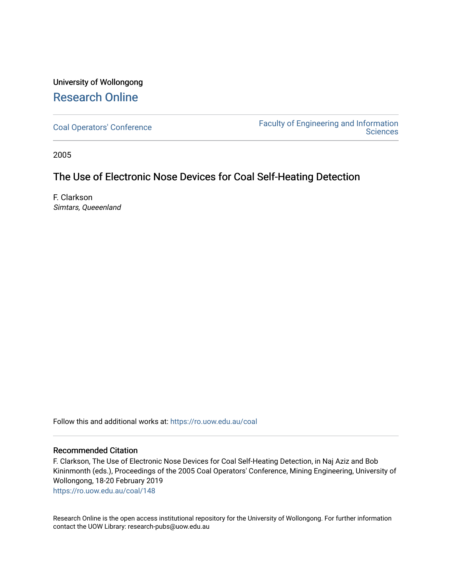# University of Wollongong [Research Online](https://ro.uow.edu.au/)

[Coal Operators' Conference](https://ro.uow.edu.au/coal) [Faculty of Engineering and Information](https://ro.uow.edu.au/eis)  **Sciences** 

2005

## The Use of Electronic Nose Devices for Coal Self-Heating Detection

F. Clarkson Simtars, Queeenland

Follow this and additional works at: [https://ro.uow.edu.au/coal](https://ro.uow.edu.au/coal?utm_source=ro.uow.edu.au%2Fcoal%2F148&utm_medium=PDF&utm_campaign=PDFCoverPages) 

## Recommended Citation

F. Clarkson, The Use of Electronic Nose Devices for Coal Self-Heating Detection, in Naj Aziz and Bob Kininmonth (eds.), Proceedings of the 2005 Coal Operators' Conference, Mining Engineering, University of Wollongong, 18-20 February 2019

[https://ro.uow.edu.au/coal/148](https://ro.uow.edu.au/coal/148?utm_source=ro.uow.edu.au%2Fcoal%2F148&utm_medium=PDF&utm_campaign=PDFCoverPages) 

Research Online is the open access institutional repository for the University of Wollongong. For further information contact the UOW Library: research-pubs@uow.edu.au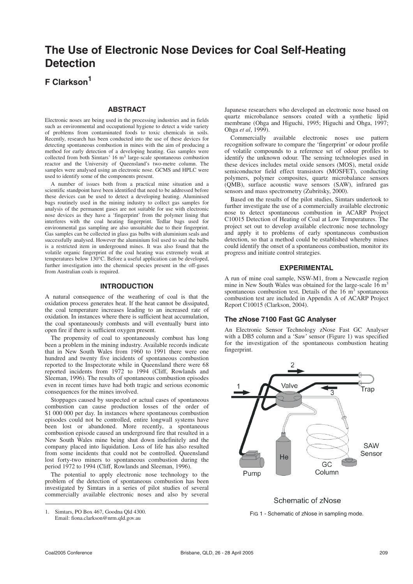# **The Use of Electronic Nose Devices for Coal Self-Heating Detection**

## **F Clarkson1**

#### **ABSTRACT**

Electronic noses are being used in the processing industries and in fields such as environmental and occupational hygiene to detect a wide variety of problems from contaminated foods to toxic chemicals in soils. Recently, research has been conducted into the use of these devices for detecting spontaneous combustion in mines with the aim of producing a method for early detection of a developing heating. Gas samples were collected from both Simtars' 16 m3 large-scale spontaneous combustion reactor and the University of Queensland's two-metre column. The samples were analysed using an electronic nose. GCMS and HPLC were used to identify some of the components present.

A number of issues both from a practical mine situation and a scientific standpoint have been identified that need to be addressed before these devices can be used to detect a developing heating. Aluminised bags routinely used in the mining industry to collect gas samples for analysis of the permanent gases are not suitable for use with electronic nose devices as they have a 'fingerprint' from the polymer lining that interferes with the coal heating fingerprint. Tedlar bags used for environmental gas sampling are also unsuitable due to their fingerprint. Gas samples can be collected in glass gas bulbs with aluminium seals and successfully analysed. However the aluminium foil used to seal the bulbs is a restricted item in underground mines. It was also found that the volatile organic fingerprint of the coal heating was extremely weak at temperatures below 130°C. Before a useful application can be developed, further investigation into the chemical species present in the off-gases from Australian coals is required.

#### **INTRODUCTION**

A natural consequence of the weathering of coal is that the oxidation process generates heat. If the heat cannot be dissipated, the coal temperature increases leading to an increased rate of oxidation. In instances where there is sufficient heat accumulation, the coal spontaneously combusts and will eventually burst into open fire if there is sufficient oxygen present.

The propensity of coal to spontaneously combust has long been a problem in the mining industry. Available records indicate that in New South Wales from 1960 to 1991 there were one hundred and twenty five incidents of spontaneous combustion reported to the Inspectorate while in Queensland there were 68 reported incidents from 1972 to 1994 (Cliff, Rowlands and Sleeman, 1996). The results of spontaneous combustion episodes even in recent times have had both tragic and serious economic consequences for the mines involved.

Stoppages caused by suspected or actual cases of spontaneous combustion can cause production losses of the order of \$1 000 000 per day. In instances where spontaneous combustion episodes could not be controlled, entire longwall systems have been lost or abandoned. More recently, a spontaneous combustion episode caused an underground fire that resulted in a New South Wales mine being shut down indefinitely and the company placed into liquidation. Loss of life has also resulted from some incidents that could not be controlled. Queensland lost forty-two miners to spontaneous combustion during the period 1972 to 1994 (Cliff, Rowlands and Sleeman, 1996).

The potential to apply electronic nose technology to the problem of the detection of spontaneous combustion has been investigated by Simtars in a series of pilot studies of several commercially available electronic noses and also by several

Japanese researchers who developed an electronic nose based on quartz microbalance sensors coated with a synthetic lipid membrane (Ohga and Higuchi, 1995; Higuchi and Ohga, 1997; Ohga *et al*, 1999).

Commercially available electronic noses use pattern recognition software to compare the 'fingerprint' or odour profile of volatile compounds to a reference set of odour profiles to identify the unknown odour. The sensing technologies used in these devices includes metal oxide sensors (MOS), metal oxide semiconductor field effect transistors (MOSFET), conducting polymers, polymer composites, quartz microbalance sensors (QMB), surface acoustic wave sensors (SAW), infrared gas sensors and mass spectrometry (Zubritsky, 2000).

Based on the results of the pilot studies, Simtars undertook to further investigate the use of a commercially available electronic nose to detect spontaneous combustion in ACARP Project C10015 Detection of Heating of Coal at Low Temperatures. The project set out to develop available electronic nose technology and apply it to problems of early spontaneous combustion detection, so that a method could be established whereby mines could identify the onset of a spontaneous combustion, monitor its progress and initiate control strategies.

#### **EXPERIMENTAL**

A run of mine coal sample, NSW-M1, from a Newcastle region mine in New South Wales was obtained for the large-scale  $16 \text{ m}^3$ spontaneous combustion test. Details of the  $16 \text{ m}^3$  spontaneous combustion test are included in Appendix A of ACARP Project Report C10015 (Clarkson, 2004).

#### **The zNose 7100 Fast GC Analyser**

An Electronic Sensor Technology zNose Fast GC Analyser with a DB5 column and a 'Saw' sensor (Figure 1) was specified for the investigation of the spontaneous combustion heating fingerprint.



### Schematic of zNose

FIG 1 - Schematic of zNose in sampling mode.

<sup>1.</sup> Simtars, PO Box 467, Goodna Qld 4300. Email: fiona.clarkson@nrm.qld.gov.au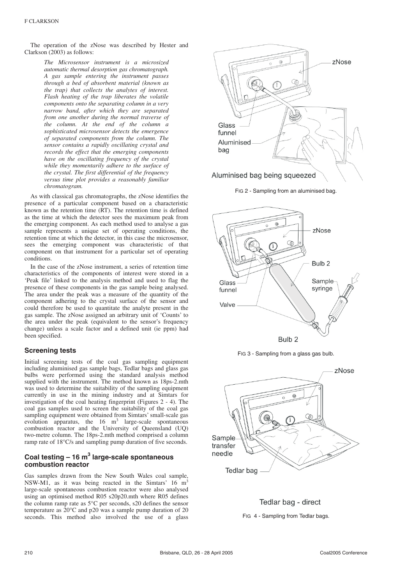The operation of the zNose was described by Hester and Clarkson (2003) as follows:

> *The Microsensor instrument is a microsized automatic thermal desorption gas chromatograph. A gas sample entering the instrument passes through a bed of absorbent material (known as the trap) that collects the analytes of interest. Flash heating of the trap liberates the volatile components onto the separating column in a very narrow band, after which they are separated from one another during the normal traverse of the column. At the end of the column a sophisticated microsensor detects the emergence of separated components from the column. The sensor contains a rapidly oscillating crystal and records the effect that the emerging components have on the oscillating frequency of the crystal while they momentarily adhere to the surface of the crystal. The first differential of the frequency versus time plot provides a reasonably familiar chromatogram.*

As with classical gas chromatographs, the zNose identifies the presence of a particular component based on a characteristic known as the retention time (RT). The retention time is defined as the time at which the detector sees the maximum peak from the emerging component. As each method used to analyse a gas sample represents a unique set of operating conditions, the retention time at which the detector, in this case the microsensor, sees the emerging component was characteristic of that component on that instrument for a particular set of operating conditions.

In the case of the zNose instrument, a series of retention time characteristics of the components of interest were stored in a 'Peak file' linked to the analysis method and used to flag the presence of these components in the gas sample being analysed. The area under the peak was a measure of the quantity of the component adhering to the crystal surface of the sensor and could therefore be used to quantitate the analyte present in the gas sample. The zNose assigned an arbitrary unit of 'Counts' to the area under the peak (equivalent to the sensor's frequency change) unless a scale factor and a defined unit (ie ppm) had been specified.

#### **Screening tests**

Initial screening tests of the coal gas sampling equipment including aluminised gas sample bags, Tedlar bags and glass gas bulbs were performed using the standard analysis method supplied with the instrument. The method known as 18ps-2.mth was used to determine the suitability of the sampling equipment currently in use in the mining industry and at Simtars for investigation of the coal heating fingerprint (Figures 2 - 4). The coal gas samples used to screen the suitability of the coal gas sampling equipment were obtained from Simtars' small-scale gas evolution apparatus, the  $16 \text{ m}^3$  large-scale spontaneous combustion reactor and the University of Queensland (UQ) two-metre column. The 18ps-2.mth method comprised a column ramp rate of 18°C/s and sampling pump duration of five seconds.

### **Coal testing – 16 m3 large-scale spontaneous combustion reactor**

Gas samples drawn from the New South Wales coal sample, NSW-M1, as it was being reacted in the Simtars'  $16 \text{ m}^3$ large-scale spontaneous combustion reactor were also analysed using an optimised method R05 s20p20.mth where R05 defines the column ramp rate as 5°C per seconds, s20 defines the sensor temperature as  $20^{\circ}$ C and p20 was a sample pump duration of 20 seconds. This method also involved the use of a glass



FIG 2 - Sampling from an aluminised bag.







Tedlar bag - direct FIG 4 - Sampling from Tedlar bags.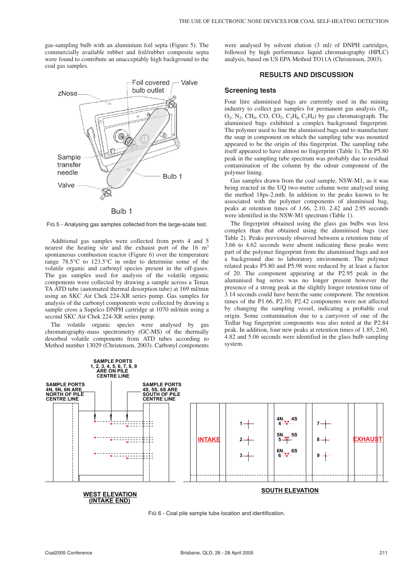gas-sampling bulb with an aluminium foil septa (Figure 5). The commercially available rubber and foil/rubber composite septa were found to contribute an unacceptably high background to the coal gas samples.



FIG 5 - Analysing gas samples collected from the large-scale test.

Additional gas samples were collected from ports 4 and 5 nearest the heating site and the exhaust port of the 16 m<sup>3</sup> spontaneous combustion reactor (Figure 6) over the temperature range 78.5°C to 123.5°C in order to determine some of the volatile organic and carbonyl species present in the off-gases. The gas samples used for analysis of the volatile organic components were collected by drawing a sample across a Tenax TA ATD tube (automated thermal desorption tube) at 169 ml/min using an SKC Air Chek 224-XR series pump. Gas samples for analysis of the carbonyl components were collected by drawing a sample cross a Supelco DNPH cartridge at 1070 ml/min using a second SKC Air Chek 224-XR series pump.

volatile organic species were analysed by gas chromatography-mass spectrometry (GC-MS) of the thermally desorbed volatile components from ATD tubes according to Method number 13029 (Christensen, 2003). Carbonyl components were analysed by solvent elution (3 ml) of DNPH cartridges, followed by high performance liquid chromatography (HPLC) analysis, based on US EPA Method TO11A (Christensen, 2003).

#### **RESULTS AND DISCUSSION**

#### **Screening tests**

Four litre aluminised bags are currently used in the mining industry to collect gas samples for permanent gas analysis  $(H_2, H_3)$  $O_2$ , N<sub>2</sub>, CH<sub>4</sub>, CO,  $CO_2$ ,  $C_2H_6$ ,  $C_2H_4$ ) by gas chromatograph. The aluminised bags exhibited a complex background fingerprint. The polymer used to line the aluminised bags and to manufacture the snap in component on which the sampling tube was mounted appeared to be the origin of this fingerprint. The sampling tube itself appeared to have almost no fingerprint (Table 1). The P5.80 peak in the sampling tube spectrum was probably due to residual contamination of the column by the odour component of the polymer lining.

Gas samples drawn from the coal sample, NSW-M1, as it was being reacted in the UQ two-metre column were analysed using the method 18ps-2.mth. In addition to the peaks known to be associated with the polymer components of aluminised bag, peaks at retention times of 1.66, 2.10, 2.42 and 2.95 seconds were identified in the NSW-M1 spectrum (Table 1).

The fingerprint obtained using the glass gas bulbs was less complex than that obtained using the aluminised bags (see Table 2). Peaks previously observed between a retention time of 3.66 to 4.62 seconds were absent indicating these peaks were part of the polymer fingerprint from the aluminised bags and not a background due to laboratory environment. The polymer related peaks P5.80 and P5.98 were reduced by at least a factor of 20. The component appearing at the P2.95 peak in the aluminised bag series was no longer present however the presence of a strong peak at the slightly longer retention time of 3.14 seconds could have been the same component. The retention times of the P1.66, P2.10, P2.42 components were not affected by changing the sampling vessel, indicating a probable coal origin. Some contamination due to a carryover of one of the Tedlar bag fingerprint components was also noted at the P2.84 peak. In addition, four new peaks at retention times of 1.85, 2.60, 4.82 and 5.06 seconds were identified in the glass bulb sampling system.



FIG 6 - Coal pile sample tube location and identification.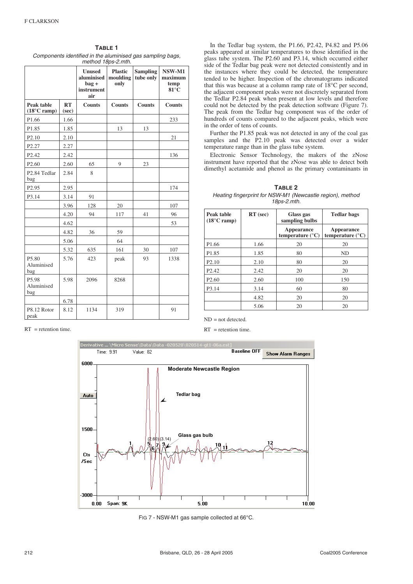| TABLE 1                                                    |
|------------------------------------------------------------|
| Components identified in the aluminised gas sampling bags, |
| $mathAA$ 10ng 0 mth                                        |

| method 18ps-2.mth.                           |             |                                                             |                                    |                              |                                             |
|----------------------------------------------|-------------|-------------------------------------------------------------|------------------------------------|------------------------------|---------------------------------------------|
|                                              |             | <b>Unused</b><br>aluminised<br>$bag +$<br>instrument<br>air | <b>Plastic</b><br>moulding<br>only | <b>Sampling</b><br>tube only | NSW-M1<br>maximum<br>temp<br>$81^{\circ}$ C |
| Peak table<br>$(18^{\circ}C \; \text{ramp})$ | RT<br>(sec) | <b>Counts</b>                                               | <b>Counts</b>                      | <b>Counts</b>                | <b>Counts</b>                               |
| P1.66                                        | 1.66        |                                                             |                                    |                              | 233                                         |
| P1.85                                        | 1.85        |                                                             | 13                                 | 13                           |                                             |
| P <sub>2.10</sub>                            | 2.10        |                                                             |                                    |                              | 21                                          |
| P <sub>2.27</sub>                            | 2.27        |                                                             |                                    |                              |                                             |
| P <sub>2.42</sub>                            | 2.42        |                                                             |                                    |                              | 136                                         |
| P <sub>2.60</sub>                            | 2.60        | 65                                                          | 9                                  | 23                           |                                             |
| P2.84 Tedlar<br>bag                          | 2.84        | 8                                                           |                                    |                              |                                             |
| P <sub>2.95</sub>                            | 2.95        |                                                             |                                    |                              | 174                                         |
| P3.14                                        | 3.14        | 91                                                          |                                    |                              |                                             |
|                                              | 3.96        | 128                                                         | 20                                 |                              | 107                                         |
|                                              | 4.20        | 94                                                          | 117                                | 41                           | 96                                          |
|                                              | 4.62        |                                                             |                                    |                              | 53                                          |
|                                              | 4.82        | 36                                                          | 59                                 |                              |                                             |
|                                              | 5.06        |                                                             | 64                                 |                              |                                             |
|                                              | 5.32        | 635                                                         | 161                                | 30                           | 107                                         |
| P5.80<br>Aluminised<br>bag                   | 5.76        | 423                                                         | peak                               | 93                           | 1338                                        |
| P5.98<br>Aluminised<br>bag                   | 5.98        | 2096                                                        | 8268                               |                              |                                             |
|                                              | 6.78        |                                                             |                                    |                              |                                             |
| P8.12 Rotor<br>peak                          | 8.12        | 1134                                                        | 319                                |                              | 91                                          |

In the Tedlar bag system, the P1.66, P2.42, P4.82 and P5.06 peaks appeared at similar temperatures to those identified in the glass tube system. The P2.60 and P3.14, which occurred either side of the Tedlar bag peak were not detected consistently and in the instances where they could be detected, the temperature tended to be higher. Inspection of the chromatograms indicated that this was because at a column ramp rate of 18°C per second, the adjacent component peaks were not discretely separated from the Tedlar P2.84 peak when present at low levels and therefore could not be detected by the peak detection software (Figure 7). The peak from the Tedlar bag component was of the order of hundreds of counts compared to the adjacent peaks, which were in the order of tens of counts.

Further the P1.85 peak was not detected in any of the coal gas samples and the P2.10 peak was detected over a wider temperature range than in the glass tube system.

Electronic Sensor Technology, the makers of the zNose instrument have reported that the zNose was able to detect both dimethyl acetamide and phenol as the primary contaminants in

| TABLE 2                                                   |  |  |  |  |
|-----------------------------------------------------------|--|--|--|--|
| Heating fingerprint for NSW-M1 (Newcastle region), method |  |  |  |  |
| 18ps-2.mth.                                               |  |  |  |  |

| Peak table<br>$(18^{\circ}$ C ramp) | $RT$ (sec) | Glass gas<br>sampling bulbs             | <b>Tedlar bags</b>                      |
|-------------------------------------|------------|-----------------------------------------|-----------------------------------------|
|                                     |            | Appearance<br>temperature $(^{\circ}C)$ | Appearance<br>temperature $(^{\circ}C)$ |
| P <sub>1.66</sub>                   | 1.66       | 20                                      | 20                                      |
| P <sub>1.85</sub>                   | 1.85       | 80                                      | ND                                      |
| P <sub>2.10</sub>                   | 2.10       | 80                                      | 20                                      |
| P <sub>2.42</sub>                   | 2.42       | 20                                      | 20                                      |
| P <sub>2.60</sub>                   | 2.60       | 100                                     | 150                                     |
| P3.14                               | 3.14       | 60                                      | 80                                      |
|                                     | 4.82       | 20                                      | 20                                      |
|                                     | 5.06       | 20                                      | 20                                      |

 $RT$  = retention time.

 $ND = not detected.$ 

 $RT$  = retention time.



FIG 7 - NSW-M1 gas sample collected at 66°C.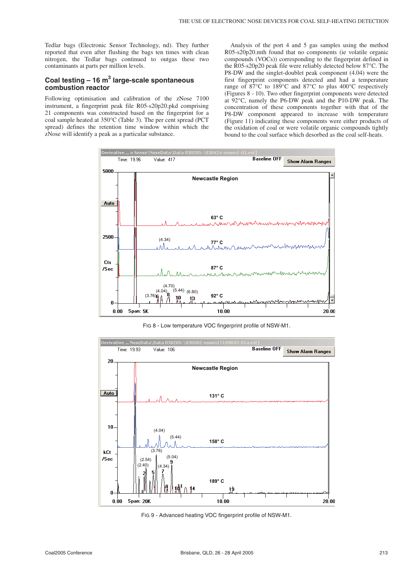Tedlar bags (Electronic Sensor Technology, nd). They further reported that even after flushing the bags ten times with clean nitrogen, the Tedlar bags continued to outgas these two contaminants at parts per million levels.

## **Coal testing – 16 m3 large-scale spontaneous combustion reactor**

Following optimisation and calibration of the zNose 7100 instrument, a fingerprint peak file R05-s20p20.pkd comprising 21 components was constructed based on the fingerprint for a coal sample heated at 350°C (Table 3). The per cent spread (PCT spread) defines the retention time window within which the zNose will identify a peak as a particular substance.

Analysis of the port 4 and 5 gas samples using the method R05-s20p20.mth found that no components (ie volatile organic compounds (VOCs)) corresponding to the fingerprint defined in the R05-s20p20 peak file were reliably detected below 87°C. The P8-DW and the singlet-doublet peak component (4.04) were the first fingerprint components detected and had a temperature range of 87°C to 189°C and 87°C to plus 400°C respectively (Figures 8 - 10). Two other fingerprint components were detected at 92°C, namely the P6-DW peak and the P10-DW peak. The concentration of these components together with that of the P8-DW component appeared to increase with temperature (Figure 11) indicating these components were either products of the oxidation of coal or were volatile organic compounds tightly bound to the coal surface which desorbed as the coal self-heats.



FIG 8 - Low temperature VOC fingerprint profile of NSW-M1.



FIG 9 - Advanced heating VOC fingerprint profile of NSW-M1.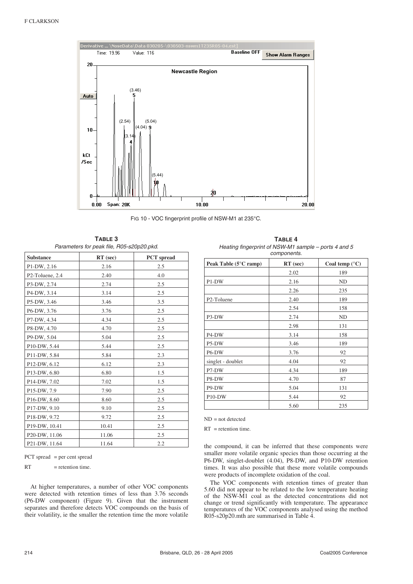

FIG 10 - VOC fingerprint profile of NSW-M1 at 235°C.

| TABLE 3                                   |  |  |  |  |
|-------------------------------------------|--|--|--|--|
| Parameters for peak file, R05-s20p20.pkd. |  |  |  |  |

| <b>Substance</b> | $RT$ (sec) | <b>PCT</b> spread |
|------------------|------------|-------------------|
| P1-DW, 2.16      | 2.16       | 2.5               |
| P2-Toluene, 2.4  | 2.40       | 4.0               |
| P3-DW, 2.74      | 2.74       | 2.5               |
| P4-DW, 3.14      | 3.14       | 2.5               |
| P5-DW, 3.46      | 3.46       | 3.5               |
| P6-DW, 3.76      | 3.76       | 2.5               |
| P7-DW, 4.34      | 4.34       | 2.5               |
| P8-DW, 4.70      | 4.70       | 2.5               |
| P9-DW, 5.04      | 5.04       | 2.5               |
| P10-DW, 5.44     | 5.44       | 2.5               |
| P11-DW, 5.84     | 5.84       | 2.3               |
| P12-DW, 6.12     | 6.12       | 2.3               |
| P13-DW, 6.80     | 6.80       | 1.5               |
| P14-DW, 7.02     | 7.02       | 1.5               |
| P15-DW, 7.9      | 7.90       | 2.5               |
| P16-DW, 8.60     | 8.60       | 2.5               |
| P17-DW, 9.10     | 9.10       | 2.5               |
| P18-DW, 9.72     | 9.72       | 2.5               |
| P19-DW, 10.41    | 10.41      | 2.5               |
| P20-DW, 11.06    | 11.06      | 2.5               |
| P21-DW, 11.64    | 11.64      | 2.2               |

PCT spread = per cent spread

 $RT$  = retention time.

At higher temperatures, a number of other VOC components were detected with retention times of less than 3.76 seconds (P6-DW component) (Figure 9). Given that the instrument separates and therefore detects VOC compounds on the basis of their volatility, ie the smaller the retention time the more volatile

**TABLE 4** Heating fingerprint of NSW-M1 sample – ports 4 and 5 components.

| Peak Table $(5^{\circ}$ C ramp) | $RT$ (sec) | Coal temp $(^{\circ}C)$ |
|---------------------------------|------------|-------------------------|
|                                 | 2.02       | 189                     |
| P1-DW                           | 2.16       | ND                      |
|                                 | 2.26       | 235                     |
| P <sub>2</sub> -Toluene         | 2.40       | 189                     |
|                                 | 2.54       | 158                     |
| P3-DW                           | 2.74       | ND                      |
|                                 | 2.98       | 131                     |
| P4-DW                           | 3.14       | 158                     |
| P5-DW                           | 3.46       | 189                     |
| P6-DW                           | 3.76       | 92                      |
| singlet - doublet               | 4.04       | 92                      |
| P7-DW                           | 4.34       | 189                     |
| P8-DW                           | 4.70       | 87                      |
| P9-DW                           | 5.04       | 131                     |
| P <sub>10</sub> -DW             | 5.44       | 92                      |
|                                 | 5.60       | 235                     |

 $ND = not detected$ 

RT = retention time.

the compound, it can be inferred that these components were smaller more volatile organic species than those occurring at the P6-DW, singlet-doublet (4.04), P8-DW, and P10-DW retention times. It was also possible that these more volatile compounds were products of incomplete oxidation of the coal.

The VOC components with retention times of greater than 5.60 did not appear to be related to the low temperature heating of the NSW-M1 coal as the detected concentrations did not change or trend significantly with temperature. The appearance temperatures of the VOC components analysed using the method R05-s20p20.mth are summarised in Table 4.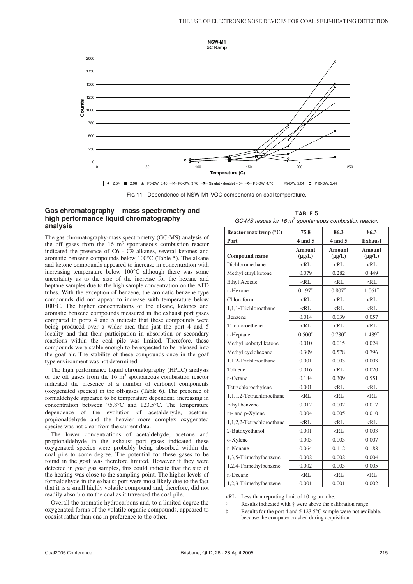



FIG 11 - Dependence of NSW-M1 VOC components on coal temperature.

#### **Gas chromatography – mass spectrometry and high performance liquid chromatography analysis**

The gas chromatography-mass spectrometry (GC-MS) analysis of the off gases from the 16 m<sup>3</sup> spontaneous combustion reactor indicated the presence of C6 - C9 alkanes, several ketones and aromatic benzene compounds below 100°C (Table 5). The alkane and ketone compounds appeared to increase in concentration with increasing temperature below 100°C although there was some uncertainty as to the size of the increase for the hexane and heptane samples due to the high sample concentration on the ATD tubes. With the exception of benzene, the aromatic benzene type compounds did not appear to increase with temperature below 100°C. The higher concentrations of the alkane, ketones and aromatic benzene compounds measured in the exhaust port gases compared to ports 4 and 5 indicate that these compounds were being produced over a wider area than just the port 4 and 5 locality and that their participation in absorption or secondary reactions within the coal pile was limited. Therefore, these compounds were stable enough to be expected to be released into the goaf air. The stability of these compounds once in the goaf type environment was not determined.

The high performance liquid chromatography (HPLC) analysis of the off gases from the  $16 \text{ m}^3$  spontaneous combustion reactor indicated the presence of a number of carbonyl components (oxygenated species) in the off-gases (Table 6). The presence of formaldehyde appeared to be temperature dependent, increasing in concentration between 75.8°C and 123.5°C. The temperature dependence of the evolution of acetaldehyde, acetone, propionaldehyde and the heavier more complex oxygenated species was not clear from the current data.

The lower concentrations of acetaldehyde, acetone and propionaldehyde in the exhaust port gases indicated these oxygenated species were probably being absorbed within the coal pile to some degree. The potential for these gases to be found in the goaf was therefore limited. However if they were detected in goaf gas samples, this could indicate that the site of the heating was close to the sampling point. The higher levels of formaldehyde in the exhaust port were most likely due to the fact that it is a small highly volatile compound and, therefore, did not readily absorb onto the coal as it traversed the coal pile.

Overall the aromatic hydrocarbons and, to a limited degree the oxygenated forms of the volatile organic compounds, appeared to coexist rather than one in preference to the other.

| TABLE 5 |                                                             |  |  |  |  |
|---------|-------------------------------------------------------------|--|--|--|--|
|         | GC-MS results for 16 m $^3$ spontaneous combustion reactor. |  |  |  |  |

| Reactor max temp $(^{\circ}C)$ | 75.8                         | 86.3                         | 86.3                         |
|--------------------------------|------------------------------|------------------------------|------------------------------|
| Port                           | 4 and 5                      | 4 and 5                      | <b>Exhaust</b>               |
| Compound name                  | <b>Amount</b><br>$(\mu g/L)$ | <b>Amount</b><br>$(\mu g/L)$ | <b>Amount</b><br>$(\mu g/L)$ |
| Dichloromethane                | $<$ RL                       | $<$ RL                       | $<$ RL                       |
| Methyl ethyl ketone            | 0.079                        | 0.282                        | 0.449                        |
| <b>Ethyl Acetate</b>           | $<$ RL                       | $<$ RL                       | $<$ RL                       |
| n-Hexane                       | $0.197^{\dagger}$            | $0.807^{\dagger}$            | $1.061^{\dagger}$            |
| Chloroform                     | $<$ RL                       | $<$ RL                       | $<$ RL                       |
| 1,1,1-Trichloroethane          | $<$ RL                       | $<$ RL                       | $<$ RL                       |
| Benzene                        | 0.014                        | 0.039                        | 0.057                        |
| Trichloroethene                | $<$ RI.                      | $<$ RL                       | $<$ RL                       |
| n-Heptane                      | $0.500^{\dagger}$            | $0.780^{\dagger}$            | $1.489^{\dagger}$            |
| Methyl isobutyl ketone         | 0.010                        | 0.015                        | 0.024                        |
| Methyl cyclohexane             | 0.309                        | 0.578                        | 0.796                        |
| 1,1,2-Trichloroethane          | 0.001                        | 0.003                        | 0.003                        |
| Toluene                        | 0.016                        | $<$ RL                       | 0.020                        |
| n-Octane                       | 0.184                        | 0.309                        | 0.551                        |
| Tetrachloroethylene            | 0.001                        | $<$ RL                       | $<$ RL                       |
| 1,1,1,2-Tetrachloroethane      | $<$ RL                       | $<$ RL                       | $<$ RL                       |
| Ethyl benzene                  | 0.012                        | 0.002                        | 0.017                        |
| m- and p-Xylene                | 0.004                        | 0.005                        | 0.010                        |
| 1,1,2,2-Tetrachloroethane      | $<$ RL                       | $<$ RL                       | $<$ RL                       |
| 2-Butoxyethanol                | 0.001                        | $<$ RL                       | 0.003                        |
| o-Xylene                       | 0.003                        | 0.003                        | 0.007                        |
| n-Nonane                       | 0.064                        | 0.112                        | 0.188                        |
| 1,3,5-Trimethylbenzene         | 0.002                        | 0.002                        | 0.004                        |
| 1,2,4-Trimethylbenzene         | 0.002                        | 0.003                        | 0.005                        |
| n-Decane                       | $<$ RL                       | $<$ RL                       | $<$ RL                       |
| 1,2,3-Trimethylbenzene         | 0.001                        | 0.001                        | 0.002                        |

<RL Less than reporting limit of 10 ng on tube.

† Results indicated with † were above the calibration range.

‡ Results for the port 4 and 5 123.5°C sample were not available, because the computer crashed during acquisition.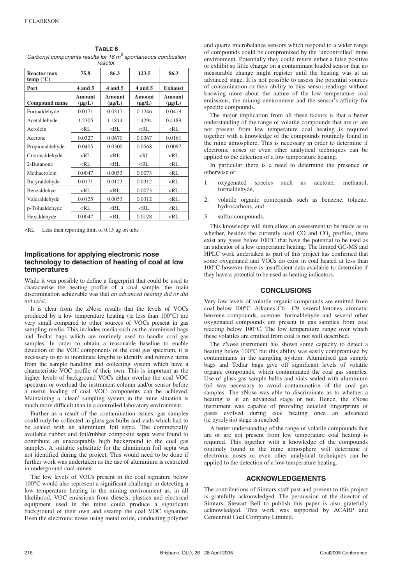| TABLE 6                                                         |
|-----------------------------------------------------------------|
| Carbonyl components results for 16 $m^3$ spontaneous combustion |
| reactor.                                                        |

| <b>Reactor max</b><br>temp $(^{\circ}C)$ | 75.8                  | 86.3                  | 123.5                 | 86.3                  |
|------------------------------------------|-----------------------|-----------------------|-----------------------|-----------------------|
| Port                                     | $4$ and $5$           | $4$ and $5$           | $4$ and $5$           | <b>Exhaust</b>        |
| Compound name                            | Amount<br>$(\mu g/L)$ | Amount<br>$(\mu g/L)$ | Amount<br>$(\mu g/L)$ | Amount<br>$(\mu g/L)$ |
| Formaldehyde                             | 0.0171                | 0.0317                | 0.1246                | 0.0419                |
| Acetaldehyde                             | 1.2305                | 1.1814                | 1.4294                | 0.4189                |
| Acrolein                                 | $<$ RL                | $<$ RI.               | $<$ RL                | $<$ RL                |
| Acetone                                  | 0.0327                | 0.0670                | 0.0367                | 0.0161                |
| Propionaldehyde                          | 0.0405                | 0.0300                | 0.0568                | 0.0097                |
| Crotonaldehyde                           | $<$ RL                | $<$ RL                | $<$ RL                | $<$ RL                |
| 2-Butanone                               | $<$ RL                | $<$ RL                | $<$ RL                | $<$ RL                |
| Methacrolein                             | 0.0047                | 0.0053                | 0.0073                | $<$ RL                |
| Butyraldehyde                            | 0.0171                | 0.0123                | 0.0312                | $<$ RL                |
| Benzaldehye                              | $<$ RL                | $<$ RL                | 0.0073                | $<$ RL                |
| Valeraldehyde                            | 0.0125                | 0.0053                | 0.0312                | $<$ RL                |
| p-Tolualdehyde                           | $<$ RL                | $<$ RL                | $<$ RL                | $<$ RL                |
| Hexaldehyde                              | 0.0047                | $<$ RL                | 0.0128                | $<$ RL                |

 $\leq$ RL Less than reporting limit of 0.15 µg on tube

#### **Implications for applying electronic nose technology to detection of heating of coal at low temperatures**

While it was possible to define a fingerprint that could be used to characterise the heating profile of a coal sample, the main discrimination achievable was that *an advanced heating did or did not exist.*

It is clear from the zNose results that the levels of VOCs produced by a low temperature heating (ie less than 100°C) are very small compared to other sources of VOCs present in gas sampling media. This includes media such as the aluminised bags and Tedlar bags which are routinely used to handle coal gas samples. In order to obtain a reasonable baseline to enable detection of the VOC components of the coal gas spectrum, it is necessary to go to inordinate lengths to identify and remove items from the sample handling and collecting system which have a characteristic VOC profile of their own. This is important as the higher levels of background VOCs either overlap the coal VOC spectrum or overload the instrument column and/or sensor before a useful loading of coal VOC components can be achieved. Maintaining a 'clean' sampling system in the mine situation is much more difficult than in a controlled laboratory environment.

Further as a result of the contamination issues, gas samples could only be collected in glass gas bulbs and vials which had to be sealed with an aluminium foil septa. The commercially available rubber and foil/rubber composite septa were found to contribute an unacceptably high background to the coal gas samples. A suitable substitute for the aluminium foil septa was not identified during the project. This would need to be done if further work was undertaken as the use of aluminium is restricted in underground coal mines.

The low levels of VOCs present in the coal signature below 100°C would also represent a significant challenge in detecting a low temperature heating in the mining environment as, in all likelihood, VOC emissions from diesels, plastics and electrical equipment used in the mine could produce a significant background of their own and swamp the coal VOC signature. Even the electronic noses using metal oxide, conducting polymer

and quartz microbalance sensors which respond to a wider range of compounds could be compromised by the 'uncontrolled' mine environment. Potentially they could return either a false positive or exhibit so little change on a contaminant loaded sensor that no measurable change might register until the heating was at an advanced stage. It is not possible to assess the potential sources of contamination or their ability to bias sensor readings without knowing more about the nature of the low temperature coal emissions, the mining environment and the sensor's affinity for specific compounds.

The major implication from all these factors is that a better understanding of the range of volatile compounds that are or are not present from low temperature coal heating is required together with a knowledge of the compounds routinely found in the mine atmosphere. This is necessary in order to determine if electronic noses or even other analytical techniques can be applied to the detection of a low temperature heating.

In particular there is a need to determine the presence or otherwise of:

- 1. oxygenated species such as acetone, methanol, formaldehyde,
- 2. volatile organic compounds such as benzene, toluene, hydrocarbons, and
- 3. sulfur compounds.

This knowledge will then allow an assessment to be made as to whether, besides the currently used  $CO$  and  $CO<sub>2</sub>$  profiles, there exist any gases below 100°C that have the potential to be used as an indicator of a low temperature heating. The limited GC-MS and HPLC work undertaken as part of this project has confirmed that some oxygenated and VOCs do exist in coal heated at less than 100°C however there is insufficient data available to determine if they have a potential to be used as heating indicators.

#### **CONCLUSIONS**

Very low levels of volatile organic compounds are emitted from coal below 100°C. Alkanes C6 - C9, several ketones, aromatic benzene compounds, acetone, formaldehyde and several other oxygenated compounds are present in gas samples from coal reacting below 100°C. The low temperature range over which these volatiles are emitted from coal is not well described.

The zNose instrument has shown some capacity to detect a heating below 100°C but this ability was easily compromised by contaminants in the sampling system. Aluminised gas sample bags and Tedlar bags give off significant levels of volatile organic compounds, which contaminated the coal gas samples. Use of glass gas sample bulbs and vials sealed with aluminium foil was necessary to avoid contamination of the coal gas samples. The zNose was able to discriminate as to whether a heating is at an advanced stage or not. Hence, the zNose instrument was capable of providing detailed fingerprints of gases evolved during coal heating once an advanced (ie pyrolysis) stage is reached.

A better understanding of the range of volatile compounds that are or are not present from low temperature coal heating is required. This together with a knowledge of the compounds routinely found in the mine atmosphere will determine if electronic noses or even other analytical techniques can be applied to the detection of a low temperature heating.

#### **ACKNOWLEDGEMENTS**

The contributions of Simtars staff past and present to this project is gratefully acknowledged. The permission of the director of Simtars, Stewart Bell to publish this paper is also gratefully acknowledged. This work was supported by ACARP and Centennial Coal Company Limited.